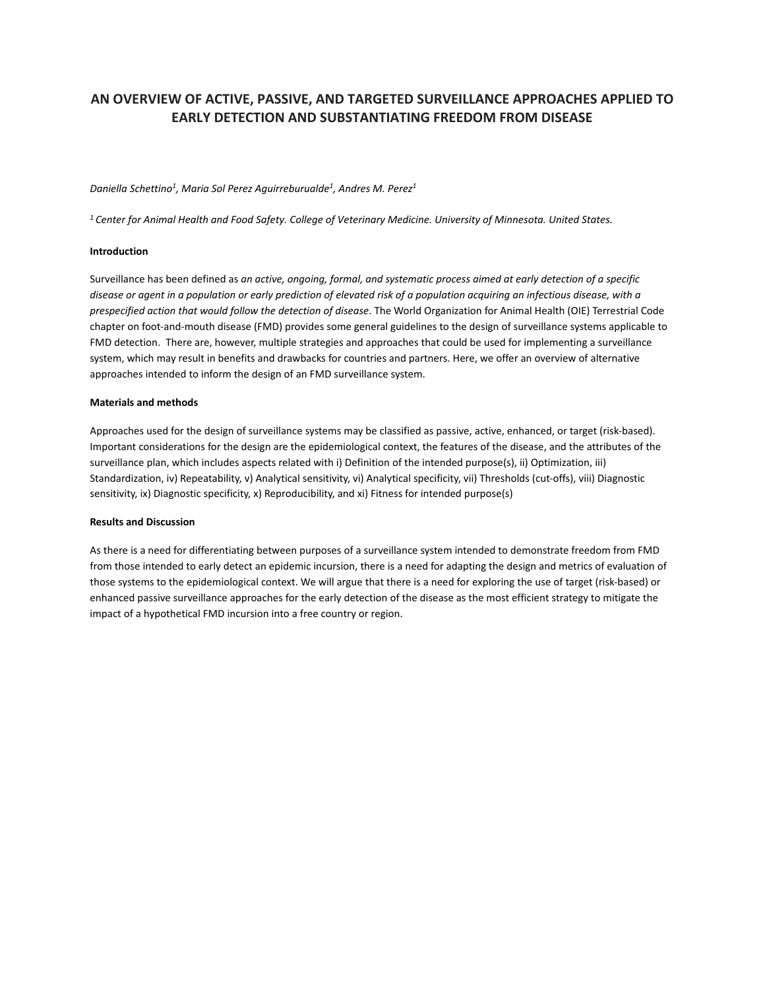# **AN OVERVIEW OF ACTIVE, PASSIVE, AND TARGETED SURVEILLANCE APPROACHES APPLIED TO EARLY DETECTION AND SUBSTANTIATING FREEDOM FROM DISEASE**

#### *Daniella Schettino1, Maria Sol Perez Aguirreburualde1, Andres M. Perez1*

*<sup>1</sup> Center for Animal Health and Food Safety. College of Veterinary Medicine. University of Minnesota. United States.*

#### **Introduction**

Surveillance has been defined as *an active, ongoing, formal, and systematic process aimed at early detection of a specific disease or agent in a population or early prediction of elevated risk of a population acquiring an infectious disease, with a prespecified action that would follow the detection of disease*. The World Organization for Animal Health (OIE) Terrestrial Code chapter on foot-and-mouth disease (FMD) provides some general guidelines to the design of surveillance systems applicable to FMD detection. There are, however, multiple strategies and approaches that could be used for implementing a surveillance system, which may result in benefits and drawbacks for countries and partners. Here, we offer an overview of alternative approaches intended to inform the design of an FMD surveillance system.

#### **Materials and methods**

Approaches used for the design of surveillance systems may be classified as passive, active, enhanced, or target (risk-based). Important considerations for the design are the epidemiological context, the features of the disease, and the attributes of the surveillance plan, which includes aspects related with i) Definition of the intended purpose(s), ii) Optimization, iii) Standardization, iv) Repeatability, v) Analytical sensitivity, vi) Analytical specificity, vii) Thresholds (cut-offs), viii) Diagnostic sensitivity, ix) Diagnostic specificity, x) Reproducibility, and xi) Fitness for intended purpose(s)

### **Results and Discussion**

As there is a need for differentiating between purposes of a surveillance system intended to demonstrate freedom from FMD from those intended to early detect an epidemic incursion, there is a need for adapting the design and metrics of evaluation of those systems to the epidemiological context. We will argue that there is a need for exploring the use of target (risk-based) or enhanced passive surveillance approaches for the early detection of the disease as the most efficient strategy to mitigate the impact of a hypothetical FMD incursion into a free country or region.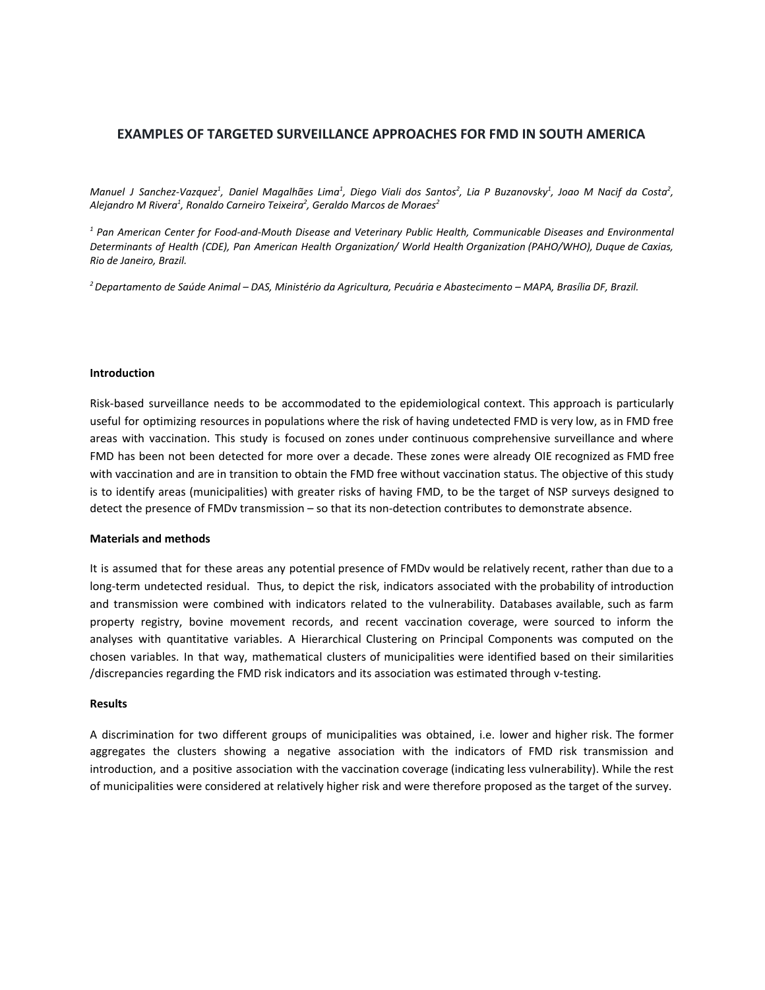## **EXAMPLES OF TARGETED SURVEILLANCE APPROACHES FOR FMD IN SOUTH AMERICA**

Manuel J Sanchez-Vazquez $^1$ , Daniel Magalhães Lima $^1$ , Diego Viali dos Santos $^2$ , Lia P Buzanovsky $^1$ , Joao M Nacif da Costa $^2$ , *Alejandro M Rivera<sup>1</sup> , Ronaldo Carneiro Teixeira<sup>2</sup> , Geraldo Marcos de Moraes<sup>2</sup>*

*<sup>1</sup> Pan American Center for Food-and-Mouth Disease and Veterinary Public Health, Communicable Diseases and Environmental Determinants of Health (CDE), Pan American Health Organization/ World Health Organization (PAHO/WHO), Duque de Caxias, Rio de Janeiro, Brazil.*

*<sup>2</sup>Departamento de Saúde Animal – DAS, Ministério da Agricultura, Pecuária e Abastecimento – MAPA, Brasília DF, Brazil.*

### **Introduction**

Risk-based surveillance needs to be accommodated to the epidemiological context. This approach is particularly useful for optimizing resources in populations where the risk of having undetected FMD is very low, as in FMD free areas with vaccination. This study is focused on zones under continuous comprehensive surveillance and where FMD has been not been detected for more over a decade. These zones were already OIE recognized as FMD free with vaccination and are in transition to obtain the FMD free without vaccination status. The objective of this study is to identify areas (municipalities) with greater risks of having FMD, to be the target of NSP surveys designed to detect the presence of FMDv transmission – so that its non-detection contributes to demonstrate absence.

#### **Materials and methods**

It is assumed that for these areas any potential presence of FMDv would be relatively recent, rather than due to a long-term undetected residual. Thus, to depict the risk, indicators associated with the probability of introduction and transmission were combined with indicators related to the vulnerability. Databases available, such as farm property registry, bovine movement records, and recent vaccination coverage, were sourced to inform the analyses with quantitative variables. A Hierarchical Clustering on Principal Components was computed on the chosen variables. In that way, mathematical clusters of municipalities were identified based on their similarities /discrepancies regarding the FMD risk indicators and its association was estimated through v-testing.

### **Results**

A discrimination for two different groups of municipalities was obtained, i.e. lower and higher risk. The former aggregates the clusters showing a negative association with the indicators of FMD risk transmission and introduction, and a positive association with the vaccination coverage (indicating less vulnerability). While the rest of municipalities were considered at relatively higher risk and were therefore proposed as the target of the survey.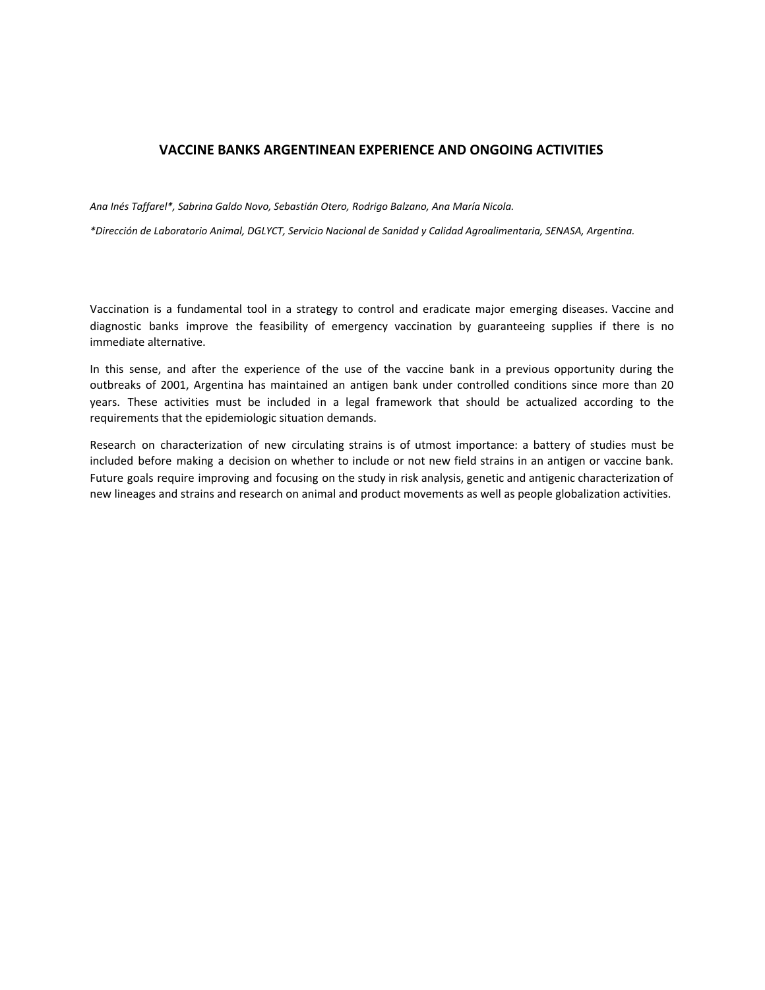# **VACCINE BANKS ARGENTINEAN EXPERIENCE AND ONGOING ACTIVITIES**

*Ana Inés Taffarel\*, Sabrina Galdo Novo, Sebastián Otero, Rodrigo Balzano, Ana María Nicola.*

*\*Dirección de Laboratorio Animal, DGLYCT, Servicio Nacional de Sanidad y Calidad Agroalimentaria, SENASA, Argentina.*

Vaccination is a fundamental tool in a strategy to control and eradicate major emerging diseases. Vaccine and diagnostic banks improve the feasibility of emergency vaccination by guaranteeing supplies if there is no immediate alternative.

In this sense, and after the experience of the use of the vaccine bank in a previous opportunity during the outbreaks of 2001, Argentina has maintained an antigen bank under controlled conditions since more than 20 years. These activities must be included in a legal framework that should be actualized according to the requirements that the epidemiologic situation demands.

Research on characterization of new circulating strains is of utmost importance: a battery of studies must be included before making a decision on whether to include or not new field strains in an antigen or vaccine bank. Future goals require improving and focusing on the study in risk analysis, genetic and antigenic characterization of new lineages and strains and research on animal and product movements as well as people globalization activities.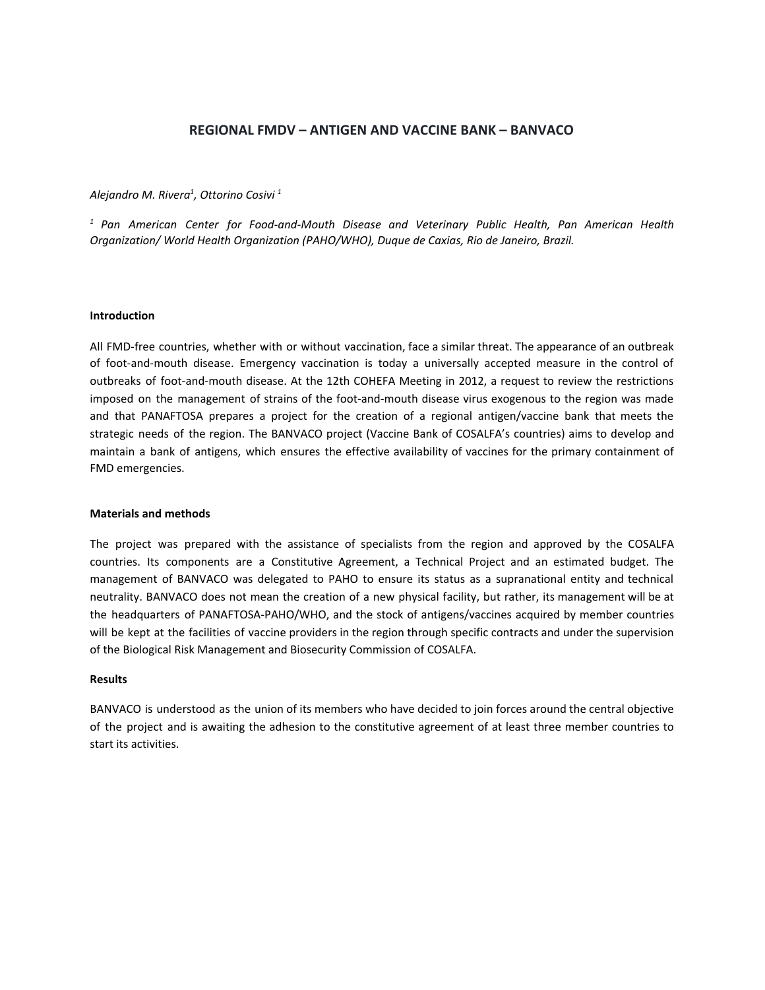# **REGIONAL FMDV – ANTIGEN AND VACCINE BANK – BANVACO**

### *Alejandro M. Rivera 1 , Ottorino Cosivi 1*

*<sup>1</sup> Pan American Center for Food-and-Mouth Disease and Veterinary Public Health, Pan American Health Organization/ World Health Organization (PAHO/WHO), Duque de Caxias, Rio de Janeiro, Brazil.*

### **Introduction**

All FMD-free countries, whether with or without vaccination, face a similar threat. The appearance of an outbreak of foot-and-mouth disease. Emergency vaccination is today a universally accepted measure in the control of outbreaks of foot-and-mouth disease. At the 12th COHEFA Meeting in 2012, a request to review the restrictions imposed on the management of strains of the foot-and-mouth disease virus exogenous to the region was made and that PANAFTOSA prepares a project for the creation of a regional antigen/vaccine bank that meets the strategic needs of the region. The BANVACO project (Vaccine Bank of COSALFA's countries) aims to develop and maintain a bank of antigens, which ensures the effective availability of vaccines for the primary containment of FMD emergencies.

### **Materials and methods**

The project was prepared with the assistance of specialists from the region and approved by the COSALFA countries. Its components are a Constitutive Agreement, a Technical Project and an estimated budget. The management of BANVACO was delegated to PAHO to ensure its status as a supranational entity and technical neutrality. BANVACO does not mean the creation of a new physical facility, but rather, its management will be at the headquarters of PANAFTOSA-PAHO/WHO, and the stock of antigens/vaccines acquired by member countries will be kept at the facilities of vaccine providers in the region through specific contracts and under the supervision of the Biological Risk Management and Biosecurity Commission of COSALFA.

### **Results**

BANVACO is understood as the union of its members who have decided to join forces around the central objective of the project and is awaiting the adhesion to the constitutive agreement of at least three member countries to start its activities.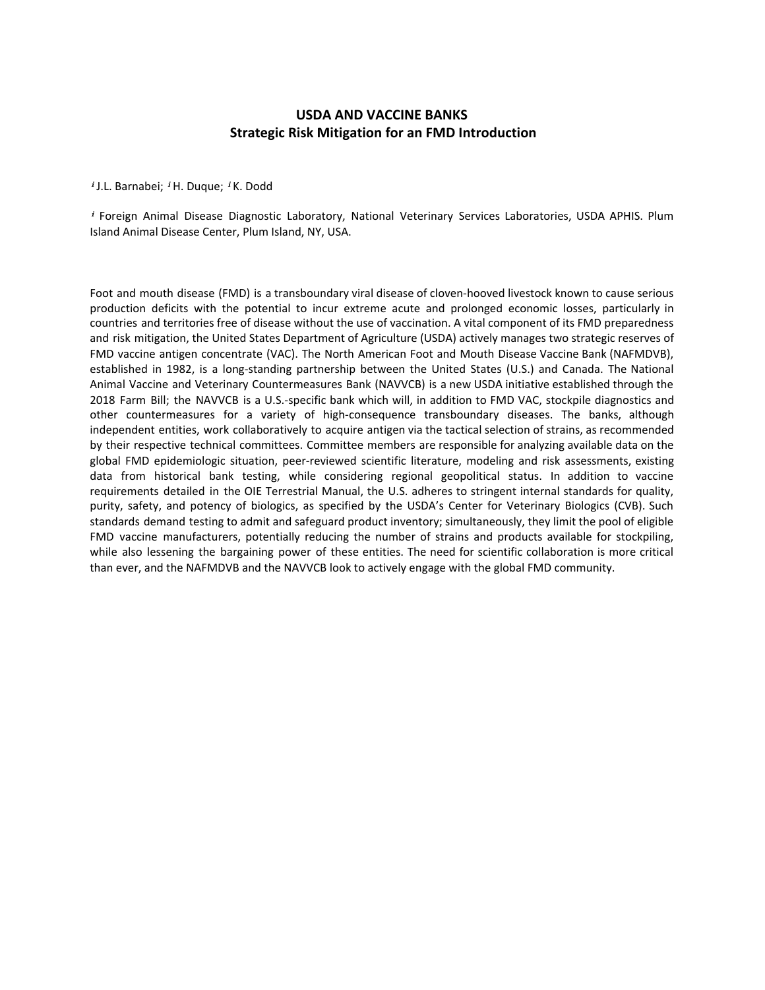# **USDA AND VACCINE BANKS Strategic Risk Mitigation for an FMD Introduction**

<sup>i</sup> J.L. Barnabei; <sup>i</sup> H. Duque; <sup>i</sup> K. Dodd

ⁱ Foreign Animal Disease Diagnostic Laboratory, National Veterinary Services Laboratories, USDA APHIS. Plum Island Animal Disease Center, Plum Island, NY, USA.

Foot and mouth disease (FMD) is a transboundary viral disease of cloven-hooved livestock known to cause serious production deficits with the potential to incur extreme acute and prolonged economic losses, particularly in countries and territories free of disease without the use of vaccination. A vital component of its FMD preparedness and risk mitigation, the United States Department of Agriculture (USDA) actively manages two strategic reserves of FMD vaccine antigen concentrate (VAC). The North American Foot and Mouth Disease Vaccine Bank (NAFMDVB), established in 1982, is a long-standing partnership between the United States (U.S.) and Canada. The National Animal Vaccine and Veterinary Countermeasures Bank (NAVVCB) is a new USDA initiative established through the 2018 Farm Bill; the NAVVCB is a U.S.-specific bank which will, in addition to FMD VAC, stockpile diagnostics and other countermeasures for a variety of high-consequence transboundary diseases. The banks, although independent entities, work collaboratively to acquire antigen via the tactical selection of strains, as recommended by their respective technical committees. Committee members are responsible for analyzing available data on the global FMD epidemiologic situation, peer-reviewed scientific literature, modeling and risk assessments, existing data from historical bank testing, while considering regional geopolitical status. In addition to vaccine requirements detailed in the OIE Terrestrial Manual, the U.S. adheres to stringent internal standards for quality, purity, safety, and potency of biologics, as specified by the USDA's Center for Veterinary Biologics (CVB). Such standards demand testing to admit and safeguard product inventory; simultaneously, they limit the pool of eligible FMD vaccine manufacturers, potentially reducing the number of strains and products available for stockpiling, while also lessening the bargaining power of these entities. The need for scientific collaboration is more critical than ever, and the NAFMDVB and the NAVVCB look to actively engage with the global FMD community.